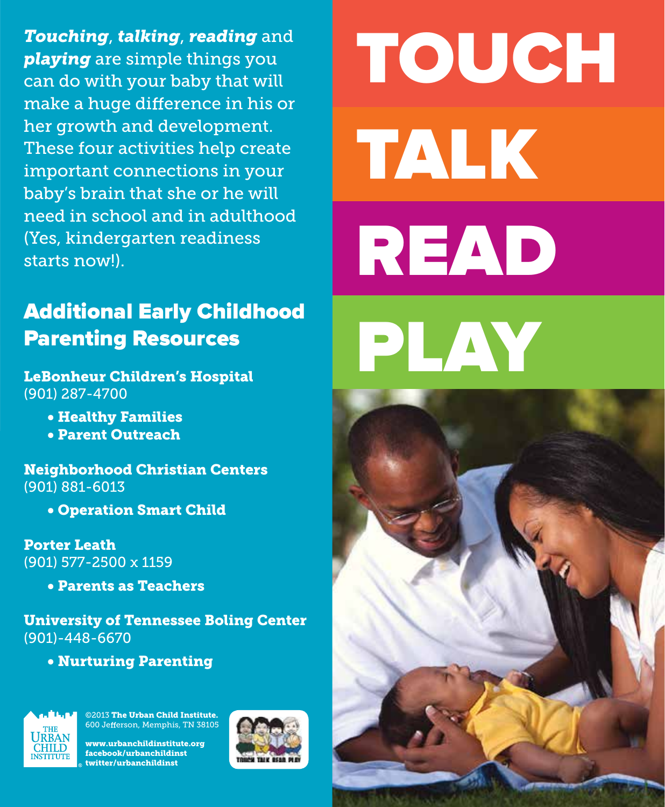*Touching*, *talking*, *reading* and *playing* are simple things you can do with your baby that will make a huge difference in his or her growth and development. These four activities help create important connections in your baby's brain that she or he will need in school and in adulthood (Yes, kindergarten readiness starts now!).

### Additional Early Childhood Parenting Resources

LeBonheur Children's Hospital (901) 287-4700

- Healthy Families
- Parent Outreach

Neighborhood Christian Centers (901) 881-6013

• Operation Smart Child

Porter Leath (901) 577-2500 x 1159

• Parents as Teachers

University of Tennessee Boling Center (901)-448-6670

• Nurturing Parenting



©2013 The Urban Child Institute. 600 Jefferson, Memphis, TN 38105

www.urbanchildinstitute.org facebook/urbanchildinst twitter/urbanchildinst



TOUCH TALK READ PLAY

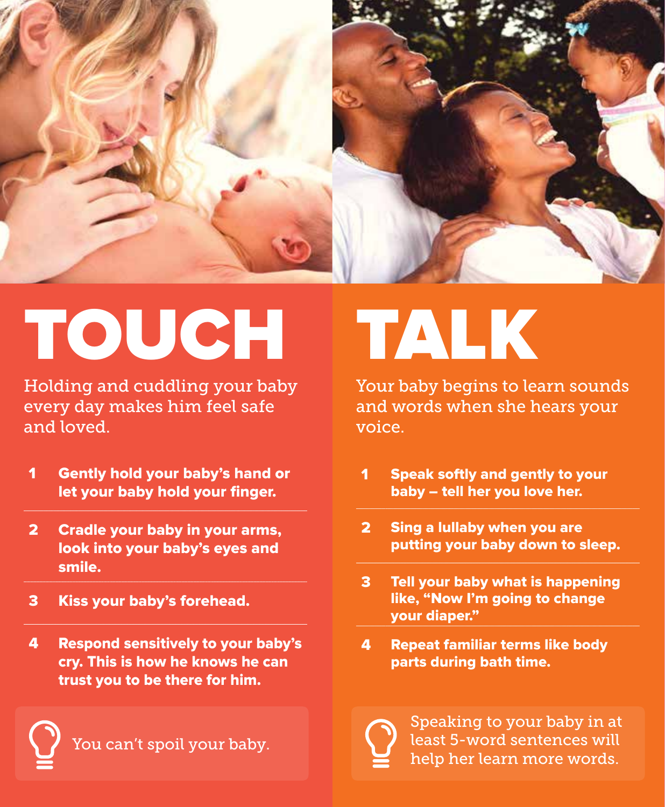

## TOUCH TALK

Holding and cuddling your baby every day makes him feel safe and loved.

- 1 Gently hold your baby's hand or let your baby hold your finger.
- 2 Cradle your baby in your arms, look into your baby's eyes and smile.
- 3 Kiss your baby's forehead.
- 4 Respond sensitively to your baby's cry. This is how he knows he can trust you to be there for him.

You can't spoil your baby.

Your baby begins to learn sounds and words when she hears your voice.

- 1 Speak softly and gently to your baby – tell her you love her.
- 2 Sing a lullaby when you are putting your baby down to sleep.
- 3 Tell your baby what is happening like, "Now I'm going to change your diaper."
- 4 Repeat familiar terms like body parts during bath time.



Speaking to your baby in at least 5-word sentences will help her learn more words.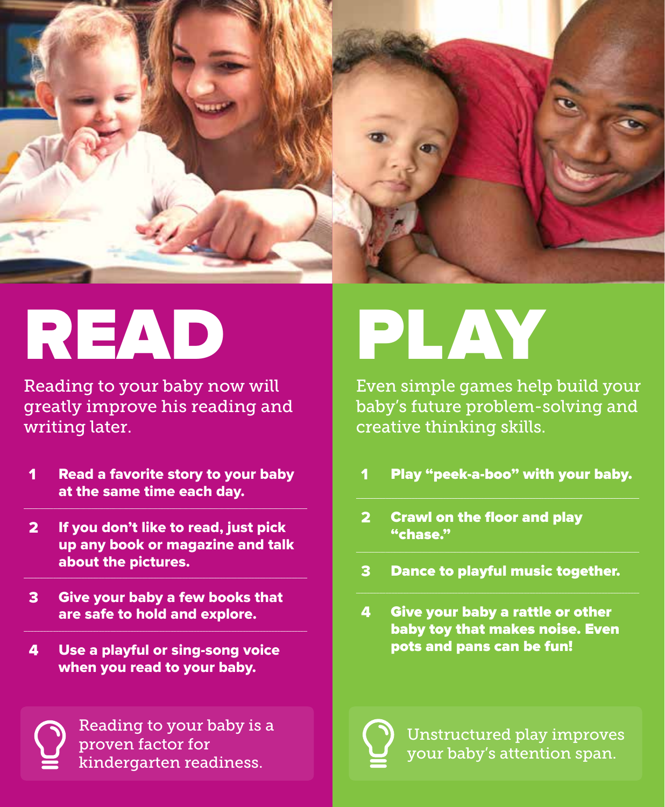

## READ PLAY

Reading to your baby now will greatly improve his reading and writing later.

- 1 Read a favorite story to your baby at the same time each day.
- 2 If you don't like to read, just pick up any book or magazine and talk about the pictures.
- 3 Give your baby a few books that are safe to hold and explore.
- 4 Use a playful or sing-song voice when you read to your baby.



Reading to your baby is a proven factor for kindergarten readiness.

Even simple games help build your baby's future problem-solving and creative thinking skills.

- 1 Play "peek-a-boo" with your baby.
- 2 Crawl on the floor and play "chase."
- 3 Dance to playful music together.
- 4 Give your baby a rattle or other baby toy that makes noise. Even pots and pans can be fun!

Unstructured play improves your baby's attention span.